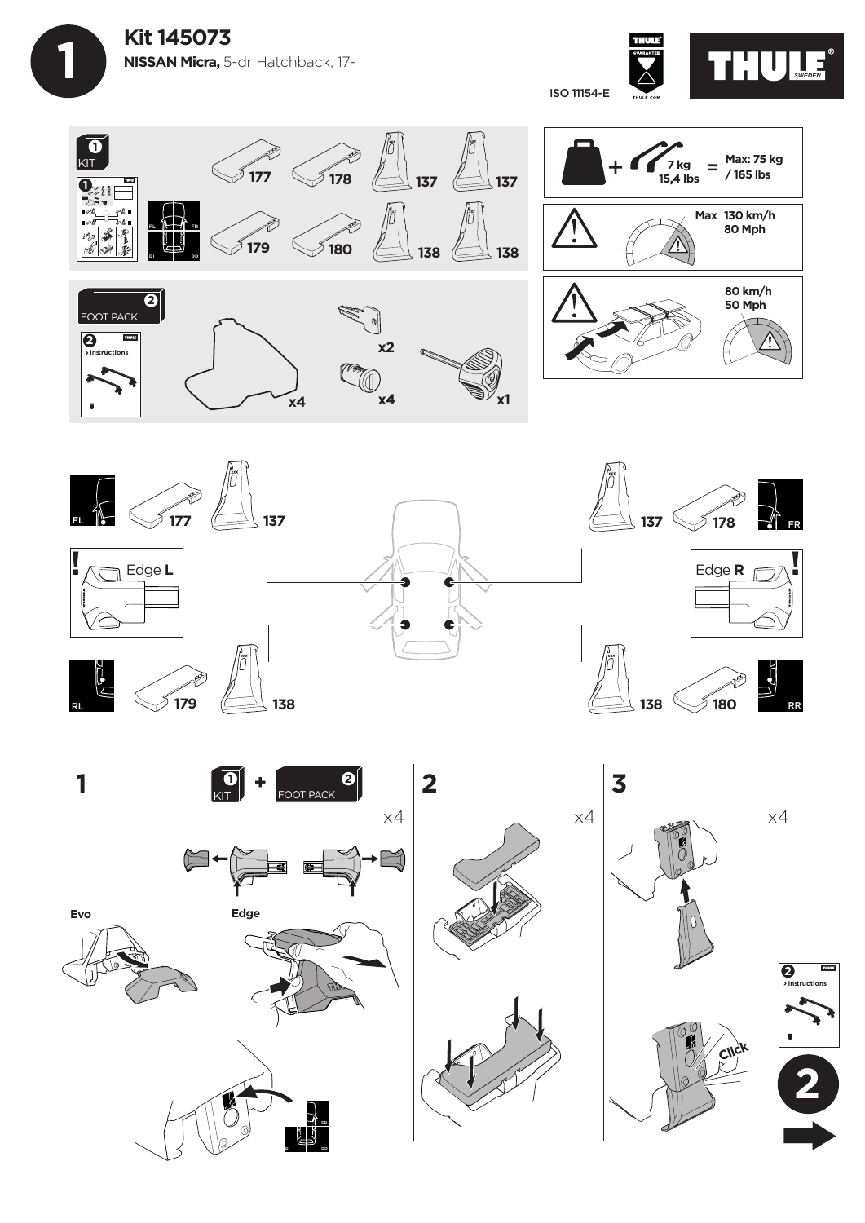**1 Kit 145073 NISSAN Micra,** 5-dr Hatchback, 17-